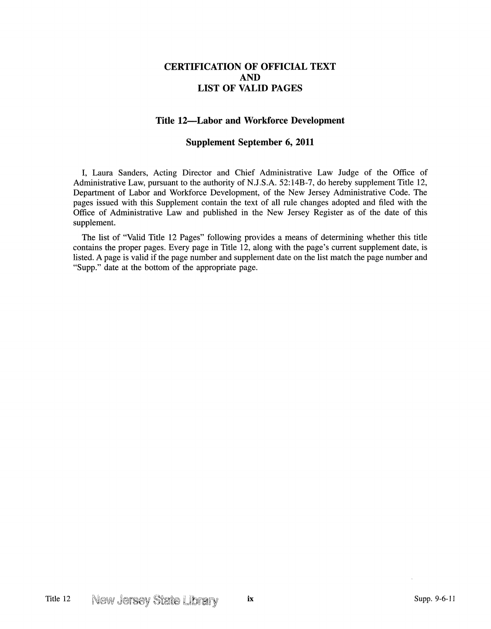## **CERTIFICATION OF OFFICIAL TEXT AND LIST OF VALID PAGES**

## **Title 12-Labor and Workforce Development**

## **Supplement September 6, 2011**

I, Laura Sanders, Acting Director and Chief Administrative Law Judge of the Office of Administrative Law, pursuant to the authority of N.J.S.A. 52:14B-7, do hereby supplement Title 12, Department of Labor and Workforce Development, of the New Jersey Administrative Code. The pages issued with this Supplement contain the text of all rule changes adopted and filed with the Office of Administrative Law and published in the New Jersey Register as of the date of this supplement.

The list of "Valid Title 12 Pages" following provides a means of determining whether this title contains the proper pages. Every page in Title 12, along with the page's current supplement date, is listed. A page is valid if the page number and supplement date on the list match the page number and "Supp." date at the bottom of the appropriate page.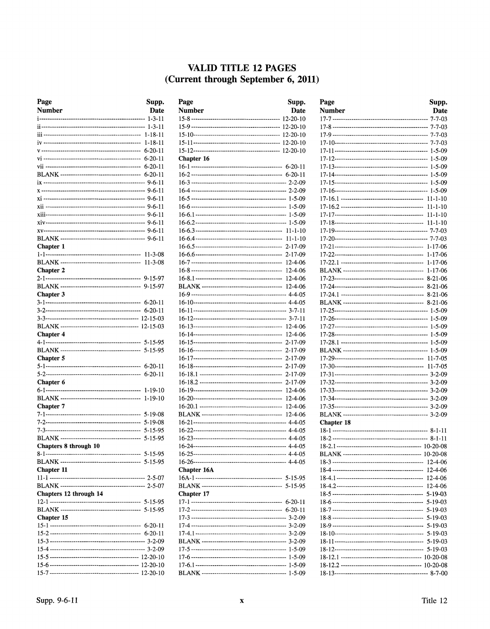## VALID TITLE 12 PAGES (Current through September 6, 2011)

| Page                   | Supp.         |
|------------------------|---------------|
| <b>Number</b>          | Date          |
|                        | $1 - 3 - 11$  |
|                        |               |
|                        |               |
|                        |               |
|                        |               |
|                        |               |
|                        |               |
|                        |               |
|                        |               |
|                        |               |
|                        |               |
|                        |               |
|                        |               |
|                        |               |
|                        |               |
|                        |               |
| <b>Chapter 1</b>       |               |
|                        |               |
|                        | $11 - 3 - 08$ |
| <b>Chapter 2</b>       |               |
|                        |               |
| <b>Chapter 3</b>       |               |
|                        |               |
|                        |               |
|                        |               |
|                        |               |
| <b>Chapter 4</b>       |               |
|                        |               |
|                        |               |
| <b>Chapter 5</b>       |               |
|                        |               |
|                        |               |
| Chapter 6              |               |
|                        | $1 - 19 - 10$ |
|                        | 1-19-10       |
| <b>Chapter</b> 7       |               |
|                        |               |
|                        |               |
|                        | $5 - 15 - 95$ |
|                        |               |
| Chapters 8 through 10  |               |
| 8-1--                  | 5-15-95       |
|                        |               |
| <b>Chapter 11</b>      |               |
|                        |               |
| Chapters 12 through 14 |               |
|                        |               |
|                        |               |
| Chapter 15             |               |
|                        |               |
|                        |               |
|                        |               |
|                        |               |
|                        |               |
|                        |               |
|                        |               |

| Page          | Supp.                          |
|---------------|--------------------------------|
| <b>Number</b> | <b>Date</b>                    |
|               |                                |
|               |                                |
|               |                                |
|               |                                |
|               |                                |
| Chapter 16    |                                |
|               |                                |
|               |                                |
|               |                                |
|               |                                |
|               |                                |
|               |                                |
|               |                                |
|               |                                |
|               |                                |
|               | $2 - 17 - 09$                  |
|               | 2-17-09                        |
|               | $12 - 4 - 06$                  |
|               | 12-4-06                        |
|               | 12-4-06                        |
|               | 12-4-06                        |
|               |                                |
|               |                                |
|               |                                |
|               |                                |
|               |                                |
|               | 2-17-09                        |
|               | 2-17-09                        |
|               | $2 - 17 - 09$                  |
|               | 2-17-09                        |
|               | $2 - 17 - 09$                  |
|               | 2-17-09                        |
|               | 12-4-06                        |
|               | $12 - 4 - 06$<br>$12 - 4 - 06$ |
|               | 12-4-06                        |
|               |                                |
|               |                                |
|               |                                |
|               |                                |
|               |                                |
|               |                                |
| Chapter 16A   |                                |
|               |                                |
|               |                                |
| Chapter 17    |                                |
|               |                                |
|               |                                |
|               |                                |
|               |                                |
|               |                                |
|               |                                |
|               |                                |
|               |                                |
|               |                                |

| Page       | Supp.         |
|------------|---------------|
| Number     | Date          |
|            | $7 - 7 - 03$  |
|            |               |
|            |               |
|            |               |
|            |               |
|            |               |
|            |               |
|            |               |
|            |               |
|            |               |
|            |               |
|            |               |
|            | $11 - 1 - 10$ |
|            |               |
|            |               |
|            |               |
|            |               |
|            |               |
|            |               |
|            |               |
|            |               |
|            | $8-21-06$     |
|            | $8 - 21 - 06$ |
|            |               |
|            | $8 - 21 - 06$ |
|            |               |
|            |               |
|            |               |
|            |               |
|            |               |
|            |               |
|            |               |
|            |               |
|            | $11 - 7 - 05$ |
|            |               |
|            |               |
|            |               |
|            |               |
|            |               |
|            |               |
| Chapter 18 |               |
|            |               |
|            |               |
|            |               |
|            |               |
|            |               |
|            |               |
|            |               |
|            |               |
|            |               |
|            |               |
|            |               |
|            |               |
|            |               |
|            |               |
|            |               |
|            |               |
|            |               |
|            |               |
|            |               |
|            |               |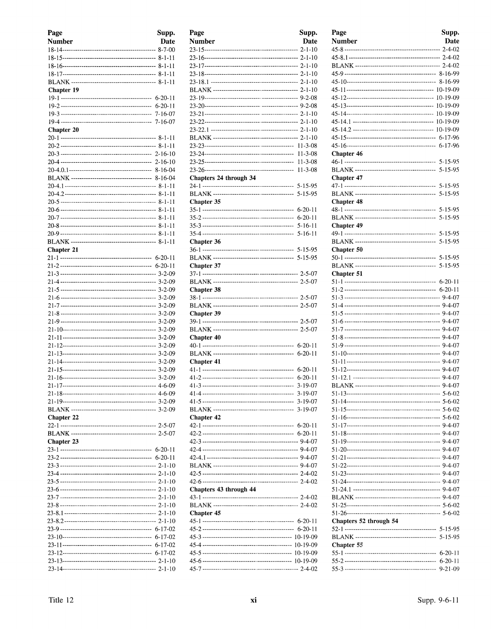| Page              | Supp. |
|-------------------|-------|
| <b>Number</b>     | Date  |
|                   |       |
|                   |       |
|                   |       |
|                   |       |
|                   |       |
| <b>Chapter 19</b> |       |
|                   |       |
|                   |       |
|                   |       |
|                   |       |
| Chapter 20        |       |
|                   |       |
|                   |       |
|                   |       |
|                   |       |
|                   |       |
|                   |       |
|                   |       |
|                   |       |
|                   |       |
|                   |       |
|                   |       |
|                   |       |
|                   |       |
|                   |       |
| <b>Chapter 21</b> |       |
|                   |       |
|                   |       |
|                   |       |
|                   |       |
|                   |       |
|                   |       |
|                   |       |
|                   |       |
|                   |       |
|                   |       |
|                   |       |
|                   |       |
|                   |       |
|                   |       |
|                   |       |
|                   |       |
|                   |       |
|                   |       |
|                   |       |
|                   |       |
| Chapter 22        |       |
|                   |       |
|                   |       |
| Chapter 23        |       |
|                   |       |
|                   |       |
|                   |       |
|                   |       |
|                   |       |
|                   |       |
|                   |       |
|                   |       |
|                   |       |
|                   |       |
|                   |       |
|                   |       |
|                   |       |
|                   |       |
|                   |       |
|                   |       |

| Page                   | Supp.         |
|------------------------|---------------|
| Number                 | Date          |
|                        |               |
|                        |               |
|                        |               |
|                        |               |
|                        |               |
|                        |               |
|                        |               |
|                        |               |
|                        |               |
|                        |               |
|                        |               |
|                        |               |
|                        |               |
|                        |               |
|                        | $11 - 3 - 08$ |
| Chapters 24 through 34 |               |
|                        |               |
|                        | 5-15-95       |
| Chapter 35             |               |
|                        |               |
|                        |               |
|                        |               |
|                        |               |
| Chapter 36             |               |
|                        |               |
|                        |               |
| Chapter 37             |               |
|                        |               |
|                        |               |
| Chapter 38             |               |
|                        |               |
|                        |               |
| Chapter 39             |               |
|                        |               |
|                        |               |
| Chapter 40             |               |
|                        |               |
|                        |               |
| Chapter 41             |               |
|                        |               |
|                        |               |
|                        |               |
|                        |               |
|                        | 3-19-07       |
| <b>Chapter 42</b>      |               |
|                        |               |
|                        |               |
|                        |               |
|                        |               |
|                        |               |
|                        |               |
|                        |               |
|                        |               |
| Chapters 43 through 44 |               |
|                        |               |
|                        |               |
| Chapter 45             |               |
|                        |               |
|                        |               |
|                        |               |
|                        |               |
|                        |               |
|                        |               |
|                        |               |

| Page                   | Supp.         |
|------------------------|---------------|
| Number                 | Date          |
|                        |               |
|                        |               |
|                        |               |
|                        |               |
|                        |               |
|                        |               |
|                        |               |
|                        |               |
|                        |               |
|                        |               |
|                        |               |
|                        |               |
| Chapter 46             |               |
|                        | $5 - 15 - 95$ |
| <b>Chapter 47</b>      |               |
|                        | $5 - 15 - 95$ |
|                        |               |
| <b>Chapter 48</b>      |               |
|                        | $5 - 15 - 95$ |
| <b>Chapter 49</b>      |               |
|                        | $5 - 15 - 95$ |
|                        | 5-15-95       |
| Chapter 50             |               |
|                        |               |
|                        | 5-15-95       |
| Chapter 51             | $6-20-11$     |
|                        |               |
|                        |               |
|                        |               |
|                        |               |
|                        |               |
|                        |               |
|                        |               |
|                        |               |
|                        |               |
|                        |               |
|                        |               |
|                        |               |
|                        |               |
|                        |               |
|                        |               |
|                        |               |
|                        |               |
|                        |               |
|                        |               |
|                        |               |
|                        |               |
|                        |               |
|                        |               |
|                        |               |
|                        |               |
|                        |               |
| Chapters 52 through 54 |               |
|                        | $5 - 15 - 95$ |
| Chapter 55             |               |
|                        | $6 - 20 - 11$ |
|                        | $6-20-11$     |
|                        | $9 - 21 - 09$ |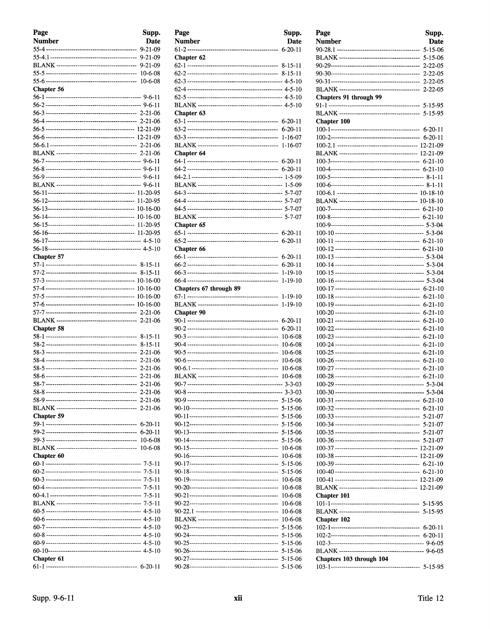| Page              | Supp.              |
|-------------------|--------------------|
| <b>Number</b>     | Date               |
|                   | $9 - 21 - 09$      |
|                   | $9 - 21 - 09$      |
|                   | $9 - 21 - 09$      |
|                   | $10-6-08$          |
|                   | 10-6-08            |
| <b>Chapter 56</b> |                    |
|                   |                    |
|                   |                    |
|                   |                    |
|                   |                    |
|                   |                    |
|                   |                    |
|                   |                    |
|                   |                    |
|                   |                    |
|                   |                    |
|                   |                    |
|                   |                    |
|                   |                    |
|                   |                    |
|                   |                    |
|                   | 11-20-95           |
|                   |                    |
|                   |                    |
|                   |                    |
| Chapter 57        |                    |
|                   |                    |
|                   | $8 - 15 - 11$      |
|                   | 10-16-00           |
|                   | 10-16-00           |
|                   |                    |
|                   |                    |
|                   |                    |
| Chapter 58        |                    |
|                   | $8 - 15 - 11$      |
|                   | $8 - 15 - 11$      |
|                   | $2 - 21 - 06$      |
|                   | $2 - 21 - 06$      |
|                   | 2-21-06            |
| $58 - 7$          | 2-21-06<br>2-21-06 |
|                   |                    |
|                   |                    |
|                   |                    |
| Chapter 59        |                    |
|                   | $6 - 20 - 11$      |
|                   | $6 - 20 - 11$      |
|                   | $10 - 6 - 08$      |
|                   | $10-6-08$          |
| Chapter 60        |                    |
|                   |                    |
|                   |                    |
|                   |                    |
|                   |                    |
|                   |                    |
|                   |                    |
|                   |                    |
|                   |                    |
|                   |                    |
|                   |                    |
|                   |                    |
| Chapter 61        |                    |
|                   |                    |

| Page<br><b>Number</b>  | Supp.<br>Date                  |
|------------------------|--------------------------------|
|                        | $6 - 20 - 11$                  |
| Chapter 62             |                                |
|                        |                                |
|                        |                                |
|                        |                                |
|                        |                                |
|                        |                                |
|                        |                                |
| Chapter 63             | $6-20-11$                      |
|                        | $6 - 20 - 11$                  |
|                        | $1 - 16 - 07$                  |
|                        | $1 - 16 - 07$                  |
| Chapter 64             |                                |
|                        |                                |
|                        |                                |
|                        |                                |
|                        |                                |
|                        |                                |
|                        |                                |
|                        |                                |
| Chapter 65             |                                |
|                        |                                |
|                        | $6 - 20 - 11$                  |
| Chapter 66             | $6 - 20 - 11$                  |
|                        | $6 - 20 - 11$                  |
|                        | 1-19-10                        |
|                        | $1 - 19 - 10$                  |
| Chapters 67 through 89 |                                |
|                        | 1-19-10                        |
|                        | 1-19-10                        |
| Chapter 90             |                                |
|                        | $6 - 20 - 11$<br>$6 - 20 - 11$ |
|                        | 10-6-08                        |
|                        | 10-6-08                        |
|                        | 10-6-08                        |
|                        | 10-6-08                        |
|                        | 10-6-08                        |
|                        | 10-6-08                        |
|                        | $3 - 3 - 03$                   |
|                        |                                |
|                        | $5 - 15 - 06$                  |
|                        | 5-15-06                        |
|                        | $5 - 15 - 06$                  |
|                        | 5-15-06                        |
|                        | 5-15-06                        |
|                        | $10-6-08$                      |
|                        | $10-6-08$                      |
|                        | $5 - 15 - 06$<br>5-15-06       |
|                        | $10-6-08$                      |
|                        | $10-6-08$                      |
|                        | 10-6-08                        |
|                        | 10-6-08                        |
|                        | 10-6-08                        |
|                        | $10-6-08$                      |
|                        | 5-15-06                        |
|                        | 5-15-06                        |
|                        | 5-15-06<br>$5 - 15 - 06$       |
|                        | 5-15-06                        |
|                        | 5-15-06                        |
|                        |                                |

| <b>Number</b><br><b>Date</b><br>$5 - 15 - 06$<br>$5 - 15 - 06$<br>$2 - 22 - 05$<br>$2 - 22 - 05$<br>$2 - 22 - 05$<br>$2 - 22 - 05$<br>Chapters 91 through 99<br>5-15-95<br>Chapter 100<br>$6 - 20 - 11$<br>$6 - 20 - 11$<br>$6 - 21 - 10$<br>$6 - 21 - 10$<br>$6 - 21 - 10$<br>$6 - 21 - 10$<br>$6 - 21 - 10$<br>$6 - 21 - 10$<br>$6 - 21 - 10$<br>$6 - 21 - 10$<br>$6 - 21 - 10$<br>Chapter 101<br>Chapter 102<br>Chapters 103 through 104 | Page | Supp. |
|---------------------------------------------------------------------------------------------------------------------------------------------------------------------------------------------------------------------------------------------------------------------------------------------------------------------------------------------------------------------------------------------------------------------------------------------|------|-------|
|                                                                                                                                                                                                                                                                                                                                                                                                                                             |      |       |
|                                                                                                                                                                                                                                                                                                                                                                                                                                             |      |       |
|                                                                                                                                                                                                                                                                                                                                                                                                                                             |      |       |
|                                                                                                                                                                                                                                                                                                                                                                                                                                             |      |       |
|                                                                                                                                                                                                                                                                                                                                                                                                                                             |      |       |
|                                                                                                                                                                                                                                                                                                                                                                                                                                             |      |       |
|                                                                                                                                                                                                                                                                                                                                                                                                                                             |      |       |
|                                                                                                                                                                                                                                                                                                                                                                                                                                             |      |       |
|                                                                                                                                                                                                                                                                                                                                                                                                                                             |      |       |
|                                                                                                                                                                                                                                                                                                                                                                                                                                             |      |       |
|                                                                                                                                                                                                                                                                                                                                                                                                                                             |      |       |
|                                                                                                                                                                                                                                                                                                                                                                                                                                             |      |       |
|                                                                                                                                                                                                                                                                                                                                                                                                                                             |      |       |
|                                                                                                                                                                                                                                                                                                                                                                                                                                             |      |       |
|                                                                                                                                                                                                                                                                                                                                                                                                                                             |      |       |
|                                                                                                                                                                                                                                                                                                                                                                                                                                             |      |       |
|                                                                                                                                                                                                                                                                                                                                                                                                                                             |      |       |
|                                                                                                                                                                                                                                                                                                                                                                                                                                             |      |       |
|                                                                                                                                                                                                                                                                                                                                                                                                                                             |      |       |
|                                                                                                                                                                                                                                                                                                                                                                                                                                             |      |       |
|                                                                                                                                                                                                                                                                                                                                                                                                                                             |      |       |
|                                                                                                                                                                                                                                                                                                                                                                                                                                             |      |       |
|                                                                                                                                                                                                                                                                                                                                                                                                                                             |      |       |
|                                                                                                                                                                                                                                                                                                                                                                                                                                             |      |       |
|                                                                                                                                                                                                                                                                                                                                                                                                                                             |      |       |
|                                                                                                                                                                                                                                                                                                                                                                                                                                             |      |       |
|                                                                                                                                                                                                                                                                                                                                                                                                                                             |      |       |
|                                                                                                                                                                                                                                                                                                                                                                                                                                             |      |       |
|                                                                                                                                                                                                                                                                                                                                                                                                                                             |      |       |
|                                                                                                                                                                                                                                                                                                                                                                                                                                             |      |       |
|                                                                                                                                                                                                                                                                                                                                                                                                                                             |      |       |
|                                                                                                                                                                                                                                                                                                                                                                                                                                             |      |       |
|                                                                                                                                                                                                                                                                                                                                                                                                                                             |      |       |
|                                                                                                                                                                                                                                                                                                                                                                                                                                             |      |       |
|                                                                                                                                                                                                                                                                                                                                                                                                                                             |      |       |
|                                                                                                                                                                                                                                                                                                                                                                                                                                             |      |       |
|                                                                                                                                                                                                                                                                                                                                                                                                                                             |      |       |
|                                                                                                                                                                                                                                                                                                                                                                                                                                             |      |       |
|                                                                                                                                                                                                                                                                                                                                                                                                                                             |      |       |
|                                                                                                                                                                                                                                                                                                                                                                                                                                             |      |       |
|                                                                                                                                                                                                                                                                                                                                                                                                                                             |      |       |
|                                                                                                                                                                                                                                                                                                                                                                                                                                             |      |       |
|                                                                                                                                                                                                                                                                                                                                                                                                                                             |      |       |
|                                                                                                                                                                                                                                                                                                                                                                                                                                             |      |       |
|                                                                                                                                                                                                                                                                                                                                                                                                                                             |      |       |
|                                                                                                                                                                                                                                                                                                                                                                                                                                             |      |       |
|                                                                                                                                                                                                                                                                                                                                                                                                                                             |      |       |
|                                                                                                                                                                                                                                                                                                                                                                                                                                             |      |       |
|                                                                                                                                                                                                                                                                                                                                                                                                                                             |      |       |
|                                                                                                                                                                                                                                                                                                                                                                                                                                             |      |       |
|                                                                                                                                                                                                                                                                                                                                                                                                                                             |      |       |
|                                                                                                                                                                                                                                                                                                                                                                                                                                             |      |       |
|                                                                                                                                                                                                                                                                                                                                                                                                                                             |      |       |
|                                                                                                                                                                                                                                                                                                                                                                                                                                             |      |       |
|                                                                                                                                                                                                                                                                                                                                                                                                                                             |      |       |
|                                                                                                                                                                                                                                                                                                                                                                                                                                             |      |       |
|                                                                                                                                                                                                                                                                                                                                                                                                                                             |      |       |
|                                                                                                                                                                                                                                                                                                                                                                                                                                             |      |       |
|                                                                                                                                                                                                                                                                                                                                                                                                                                             |      |       |
|                                                                                                                                                                                                                                                                                                                                                                                                                                             |      |       |
|                                                                                                                                                                                                                                                                                                                                                                                                                                             |      |       |
|                                                                                                                                                                                                                                                                                                                                                                                                                                             |      |       |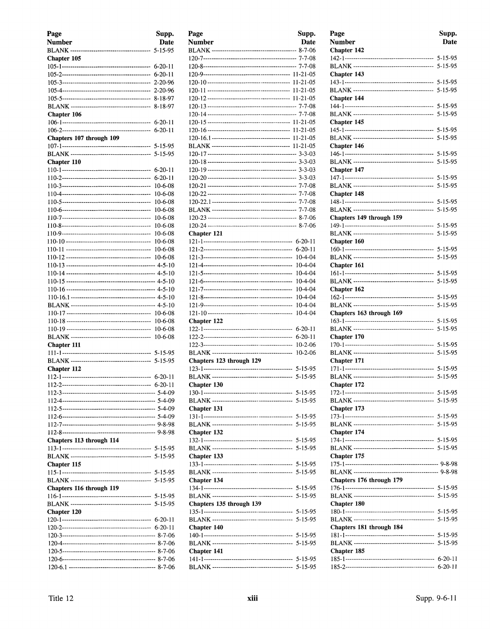| Page                     | Supp.                  |
|--------------------------|------------------------|
| <b>Number</b>            | <b>Date</b>            |
|                          | 5-15-95                |
| Chapter 105              |                        |
|                          | $6-20-11$<br>$6-20-11$ |
|                          | 2-20-96                |
|                          | 2-20-96                |
|                          | 8-18-97                |
|                          | 8-18-97                |
| Chapter 106              |                        |
|                          | $6 - 20 - 11$          |
|                          | $6-20-11$              |
| Chapters 107 through 109 |                        |
|                          | 5-15-95                |
|                          | 5-15-95                |
| Chapter 110              |                        |
|                          | $6 - 20 - 11$          |
|                          | $6 - 20 - 11$          |
|                          | 10-6-08                |
|                          | 10-6-08                |
|                          | $10-6-08$              |
|                          | $10-6-08$              |
|                          | 10-6-08                |
|                          | $10 - 6 - 08$          |
|                          | $10-6-08$              |
|                          | 10-6-08                |
|                          | $10 - 6 - 08$          |
|                          | 10-6-08                |
|                          |                        |
|                          |                        |
|                          |                        |
|                          |                        |
|                          |                        |
|                          |                        |
|                          | $10-6-08$              |
|                          | $10-6-08$              |
|                          | $10 - 6 - 08$          |
| Chapter 111              |                        |
|                          | 5-15-95                |
|                          | $5 - 15 - 95$          |
| Chapter 112              |                        |
|                          | $6 - 20 - 11$          |
|                          | $6-20-11$              |
|                          |                        |
|                          |                        |
|                          |                        |
|                          |                        |
|                          |                        |
| Chapters 113 through 114 |                        |
|                          |                        |
|                          |                        |
| Chapter 115              |                        |
|                          |                        |
|                          |                        |
| Chapters 116 through 119 |                        |
|                          |                        |
|                          | $5 - 15 - 95$          |
| Chapter 120              |                        |
|                          |                        |
|                          |                        |
|                          |                        |
|                          |                        |
|                          |                        |
|                          |                        |
|                          |                        |

| Page                     | Supp.                          |
|--------------------------|--------------------------------|
| Number                   | <b>Date</b>                    |
|                          |                                |
|                          |                                |
|                          |                                |
|                          |                                |
|                          |                                |
|                          |                                |
|                          |                                |
|                          |                                |
|                          |                                |
|                          |                                |
|                          |                                |
|                          |                                |
|                          |                                |
|                          |                                |
|                          |                                |
|                          |                                |
|                          |                                |
|                          |                                |
|                          |                                |
|                          |                                |
|                          |                                |
|                          |                                |
| <b>Chapter 121</b>       | $6 - 20 - 11$                  |
|                          | $6 - 20 - 11$                  |
|                          | 10-4-04                        |
|                          | 10-4-04                        |
|                          | 10-4-04                        |
|                          | 10-4-04                        |
|                          | 10-4-04                        |
|                          | 10-4-04                        |
|                          | 10-4-04                        |
|                          | $10 - 4 - 04$                  |
| Chapter 122              |                                |
|                          | $6 - 20 - 11$                  |
|                          | $6 - 20 - 11$<br>$10 - 2 - 06$ |
|                          | 10-2-06                        |
| Chapters 123 through 129 |                                |
|                          | 5-15-95                        |
|                          | 5-15-95                        |
| Chapter 130              |                                |
|                          |                                |
|                          | 5-15-95                        |
| Chapter 131              |                                |
|                          | $5 - 15 - 95$                  |
|                          | $5 - 15 - 95$                  |
| Chapter 132              |                                |
|                          |                                |
|                          |                                |
| Chapter 133              |                                |
|                          | 5-15-95                        |
|                          | 5-15-95                        |
| Chapter 134              |                                |
|                          |                                |
| Chapters 135 through 139 |                                |
|                          |                                |
|                          |                                |
| <b>Chapter 140</b>       |                                |
|                          |                                |
|                          |                                |
| Chapter 141              |                                |
|                          |                                |
|                          |                                |

| Page<br><b>Number</b><br>Chapter 142 | Supp.<br>Date |
|--------------------------------------|---------------|
| Chapter 143                          |               |
|                                      |               |
| Chapter 144<br>Chapter 145           |               |
| Chapter 146                          |               |
| Chapter 147                          |               |
| Chapter 148                          |               |
| Chapters 149 through 159             |               |
| Chapter 160                          | $5 - 15 - 95$ |
| Chapter 161                          |               |
| Chapter 162                          |               |
| Chapters 163 through 169             |               |
| Chapter 170                          | $5 - 15 - 95$ |
| Chapter 171                          |               |
| Chapter 172                          | 5-15-95       |
| Chapter 173                          |               |
| Chapter 174                          |               |
| Chapter 175                          |               |
| Chapters 176 through 179             |               |
| Chapter 180                          |               |
| Chapters 181 through 184             | 5-15-95       |
| Chapter 185                          | 5-15-95       |
|                                      |               |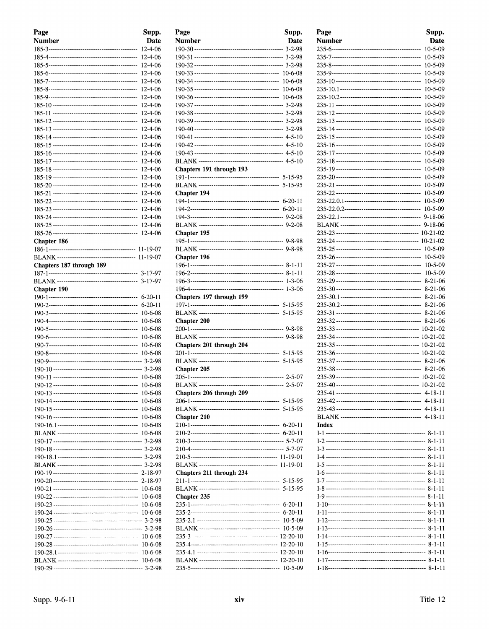| Page                     | Supp.              |
|--------------------------|--------------------|
| <b>Number</b>            | <b>Date</b>        |
|                          | 12-4-06            |
|                          | 12-4-06            |
|                          | 12-4-06            |
|                          | 12-4-06            |
|                          | 12-4-06            |
|                          | 12-4-06            |
|                          | 12-4-06            |
|                          | 12-4-06            |
|                          | 12-4-06<br>12-4-06 |
|                          | 12-4-06            |
|                          | 12-4-06            |
|                          | 12-4-06            |
|                          | 12-4-06            |
|                          | 12-4-06            |
|                          | 12-4-06            |
|                          | 12-4-06            |
|                          | 12-4-06            |
|                          | 12-4-06            |
|                          | 12-4-06            |
|                          | 12-4-06            |
|                          | 12-4-06            |
|                          | 12-4-06            |
|                          | 12-4-06            |
| Chapter 186              |                    |
|                          |                    |
| Chapters 187 through 189 |                    |
|                          | $3 - 17 - 97$      |
|                          | 3-17-97            |
| <b>Chapter 190</b>       |                    |
|                          | $6 - 20 - 11$      |
|                          | $6 - 20 - 11$      |
|                          | $10 - 6 - 08$      |
|                          | $10 - 6 - 08$      |
|                          | 10-6-08            |
|                          | $10-6-08$          |
|                          | $10 - 6 - 08$      |
|                          | $10 - 6 - 08$      |
|                          |                    |
|                          | $10 - 6 - 08$      |
|                          | 10-6-08            |
|                          | 10-6-08            |
|                          | $10-6-08$          |
|                          | $10 - 6 - 08$      |
|                          | 10-6-08            |
|                          | $10-6-08$          |
|                          | 10-6-08            |
|                          |                    |
|                          |                    |
|                          |                    |
|                          |                    |
|                          | $2 - 18 - 97$      |
|                          | 10-6-08            |
|                          | $10-6-08$          |
|                          | $10-6-08$          |
|                          | 10-6-08            |
|                          |                    |
|                          |                    |
|                          | 10-6-08            |
|                          | 10-6-08            |
|                          | $10 - 6 - 08$      |
|                          | 10-6-08            |
|                          |                    |

| Page                     | Supp.        |
|--------------------------|--------------|
| <b>Number</b>            | Date         |
|                          |              |
|                          |              |
|                          |              |
|                          |              |
|                          |              |
|                          |              |
|                          |              |
|                          |              |
|                          |              |
|                          |              |
|                          |              |
|                          |              |
|                          |              |
|                          |              |
|                          |              |
|                          |              |
|                          |              |
| Chapters 191 through 193 |              |
|                          |              |
|                          |              |
| Chapter 194              |              |
|                          |              |
|                          |              |
|                          |              |
|                          |              |
|                          |              |
| Chapter 195              |              |
|                          |              |
|                          |              |
| Chapter 196              |              |
|                          |              |
|                          |              |
|                          |              |
|                          |              |
|                          |              |
| Chapters 197 through 199 |              |
|                          |              |
|                          |              |
| <b>Chapter 200</b>       |              |
|                          |              |
|                          |              |
|                          |              |
| Chapters 201 through 204 |              |
|                          |              |
|                          |              |
| Chapter 205              |              |
|                          |              |
|                          | $2 - 5 - 07$ |
| Chapters 206 through 209 |              |
|                          |              |
|                          |              |
|                          | 5-15-95      |
| Chapter 210              |              |
|                          |              |
|                          |              |
|                          |              |
|                          |              |
|                          |              |
|                          |              |
| Chapters 211 through 234 |              |
|                          |              |
|                          |              |
|                          |              |
| <b>Chapter 235</b>       |              |
|                          |              |
|                          |              |
|                          | $10-5-09$    |
|                          |              |
|                          |              |
|                          |              |
|                          |              |
|                          |              |
|                          |              |
|                          |              |

| Page          | Supp.                     |
|---------------|---------------------------|
| <b>Number</b> | Date                      |
|               | 10-5-09                   |
|               | 10-5-09                   |
|               | 10-5-09                   |
|               | 10-5-09                   |
|               | $10 - 5 - 09$             |
|               | 10-5-09                   |
|               | 10-5-09                   |
|               | 10-5-09                   |
|               | 10-5-09                   |
|               | 10-5-09<br>$10 - 5 - 09$  |
|               | 10-5-09                   |
|               | 10-5-09                   |
|               | 10-5-09                   |
|               | $10 - 5 - 09$             |
|               | $10 - 5 - 09$             |
|               | 10-5-09                   |
|               | 10-5-09                   |
|               | 10-5-09                   |
|               | 10-5-09                   |
|               | 10-5-09                   |
|               | 9-18-06                   |
|               | 9-18-06                   |
|               | 10-21-02                  |
|               | $10 - 21 - 02$<br>10-5-09 |
|               | 10-5-09                   |
|               | $10 - 5 - 09$             |
|               | $10 - 5 - 09$             |
|               | 8-21-06                   |
|               | 8-21-06                   |
|               | 8-21-06                   |
|               | 8-21-06                   |
|               | $8-21-06$                 |
|               | $8 - 21 - 06$             |
|               | $10-21-02$                |
|               | $10-21-02$                |
|               | $10 - 21 - 02$            |
|               |                           |
|               | $8 - 21 - 06$             |
|               |                           |
|               |                           |
|               |                           |
|               |                           |
|               |                           |
|               |                           |
| Index         |                           |
|               |                           |
|               |                           |
|               |                           |
|               |                           |
|               |                           |
|               |                           |
|               |                           |
|               |                           |
|               |                           |
|               |                           |
|               |                           |
|               |                           |
|               |                           |
|               |                           |
|               |                           |
|               |                           |
|               |                           |